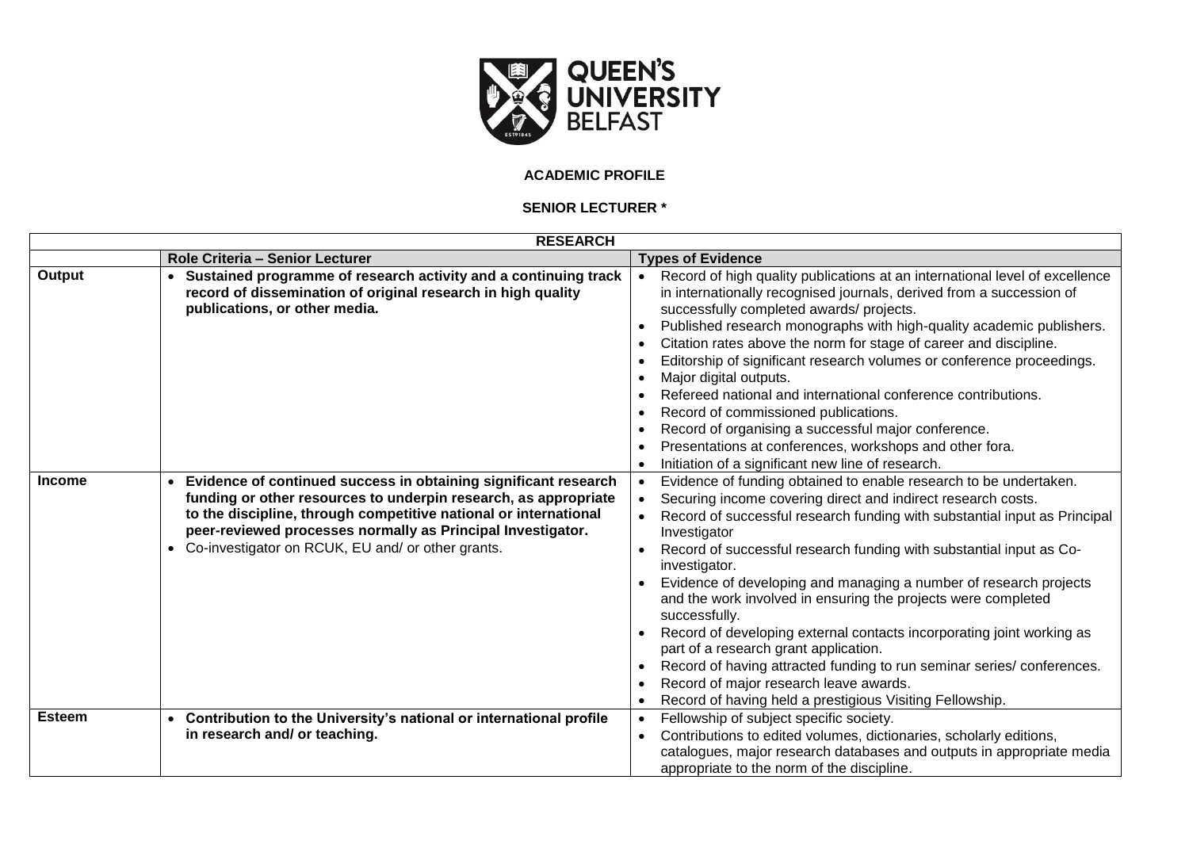

## **ACADEMIC PROFILE**

## **SENIOR LECTURER \***

| <b>RESEARCH</b> |                                                                                                                                                                                                                                                                                                                            |                                                                                                                                                                                                                                                                                                                                                                                                                                                                                                                                                                                                                                                                                                                                                                                |
|-----------------|----------------------------------------------------------------------------------------------------------------------------------------------------------------------------------------------------------------------------------------------------------------------------------------------------------------------------|--------------------------------------------------------------------------------------------------------------------------------------------------------------------------------------------------------------------------------------------------------------------------------------------------------------------------------------------------------------------------------------------------------------------------------------------------------------------------------------------------------------------------------------------------------------------------------------------------------------------------------------------------------------------------------------------------------------------------------------------------------------------------------|
|                 | Role Criteria - Senior Lecturer                                                                                                                                                                                                                                                                                            | <b>Types of Evidence</b>                                                                                                                                                                                                                                                                                                                                                                                                                                                                                                                                                                                                                                                                                                                                                       |
| Output          | Sustained programme of research activity and a continuing track<br>record of dissemination of original research in high quality<br>publications, or other media.                                                                                                                                                           | Record of high quality publications at an international level of excellence<br>in internationally recognised journals, derived from a succession of<br>successfully completed awards/ projects.<br>Published research monographs with high-quality academic publishers.<br>Citation rates above the norm for stage of career and discipline.<br>Editorship of significant research volumes or conference proceedings.<br>Major digital outputs.<br>Refereed national and international conference contributions.<br>Record of commissioned publications.<br>Record of organising a successful major conference.<br>Presentations at conferences, workshops and other fora.<br>Initiation of a significant new line of research.                                                |
| <b>Income</b>   | Evidence of continued success in obtaining significant research<br>funding or other resources to underpin research, as appropriate<br>to the discipline, through competitive national or international<br>peer-reviewed processes normally as Principal Investigator.<br>Co-investigator on RCUK, EU and/ or other grants. | Evidence of funding obtained to enable research to be undertaken.<br>Securing income covering direct and indirect research costs.<br>Record of successful research funding with substantial input as Principal<br>Investigator<br>Record of successful research funding with substantial input as Co-<br>investigator.<br>Evidence of developing and managing a number of research projects<br>and the work involved in ensuring the projects were completed<br>successfully.<br>Record of developing external contacts incorporating joint working as<br>part of a research grant application.<br>Record of having attracted funding to run seminar series/conferences.<br>Record of major research leave awards.<br>Record of having held a prestigious Visiting Fellowship. |
| <b>Esteem</b>   | Contribution to the University's national or international profile<br>in research and/ or teaching.                                                                                                                                                                                                                        | Fellowship of subject specific society.<br>Contributions to edited volumes, dictionaries, scholarly editions,<br>catalogues, major research databases and outputs in appropriate media<br>appropriate to the norm of the discipline.                                                                                                                                                                                                                                                                                                                                                                                                                                                                                                                                           |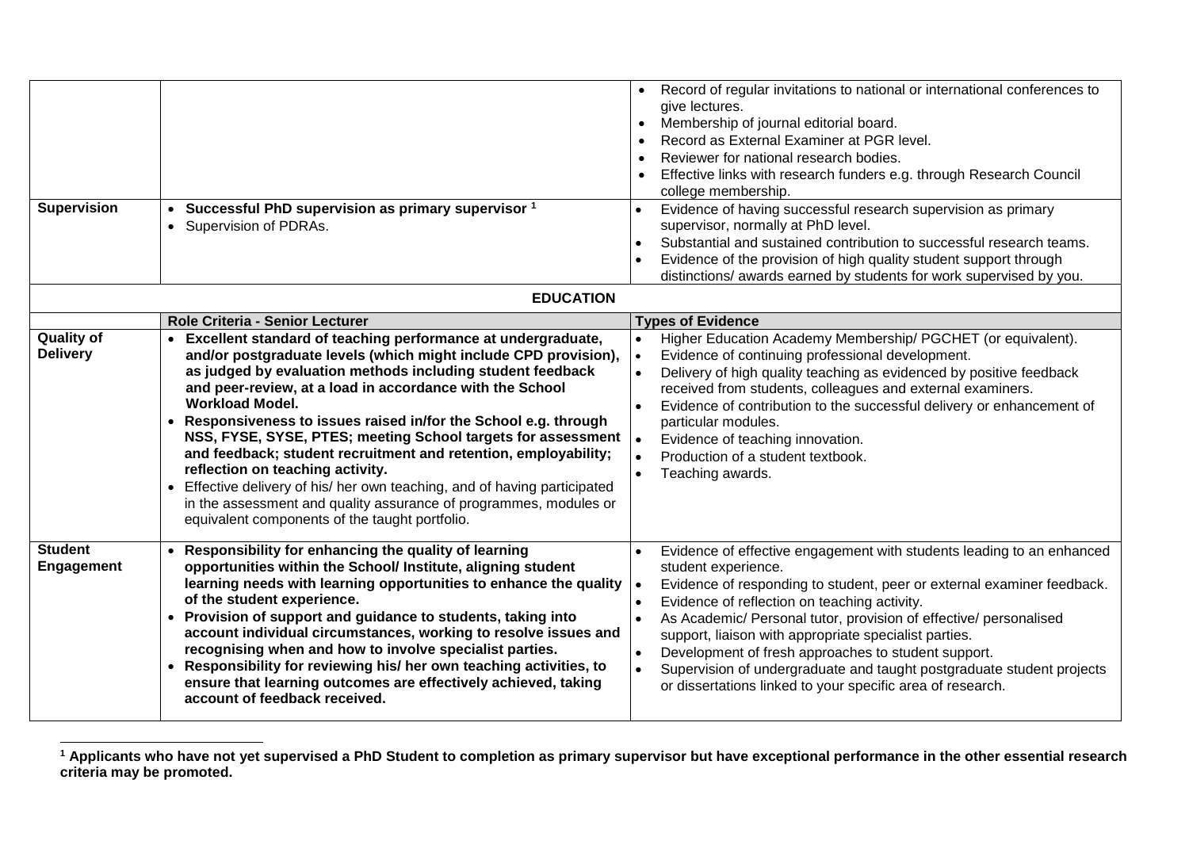| <b>Supervision</b>                   | Successful PhD supervision as primary supervisor <sup>1</sup><br>Supervision of PDRAs.<br>$\bullet$                                                                                                                                                                                                                                                                                                                                                                                                                                                                                                                                                                                                                                                               | Record of regular invitations to national or international conferences to<br>give lectures.<br>Membership of journal editorial board.<br>Record as External Examiner at PGR level.<br>Reviewer for national research bodies.<br>Effective links with research funders e.g. through Research Council<br>college membership.<br>Evidence of having successful research supervision as primary<br>supervisor, normally at PhD level.<br>Substantial and sustained contribution to successful research teams.<br>Evidence of the provision of high quality student support through<br>distinctions/ awards earned by students for work supervised by you. |  |
|--------------------------------------|-------------------------------------------------------------------------------------------------------------------------------------------------------------------------------------------------------------------------------------------------------------------------------------------------------------------------------------------------------------------------------------------------------------------------------------------------------------------------------------------------------------------------------------------------------------------------------------------------------------------------------------------------------------------------------------------------------------------------------------------------------------------|-------------------------------------------------------------------------------------------------------------------------------------------------------------------------------------------------------------------------------------------------------------------------------------------------------------------------------------------------------------------------------------------------------------------------------------------------------------------------------------------------------------------------------------------------------------------------------------------------------------------------------------------------------|--|
| <b>EDUCATION</b>                     |                                                                                                                                                                                                                                                                                                                                                                                                                                                                                                                                                                                                                                                                                                                                                                   |                                                                                                                                                                                                                                                                                                                                                                                                                                                                                                                                                                                                                                                       |  |
| <b>Quality of</b><br><b>Delivery</b> | Role Criteria - Senior Lecturer<br>Excellent standard of teaching performance at undergraduate,<br>and/or postgraduate levels (which might include CPD provision),<br>as judged by evaluation methods including student feedback<br>and peer-review, at a load in accordance with the School<br><b>Workload Model.</b><br>Responsiveness to issues raised in/for the School e.g. through<br>NSS, FYSE, SYSE, PTES; meeting School targets for assessment<br>and feedback; student recruitment and retention, employability;<br>reflection on teaching activity.<br>Effective delivery of his/ her own teaching, and of having participated<br>in the assessment and quality assurance of programmes, modules or<br>equivalent components of the taught portfolio. | <b>Types of Evidence</b><br>Higher Education Academy Membership/ PGCHET (or equivalent).<br>Evidence of continuing professional development.<br>Delivery of high quality teaching as evidenced by positive feedback<br>received from students, colleagues and external examiners.<br>Evidence of contribution to the successful delivery or enhancement of<br>particular modules.<br>Evidence of teaching innovation.<br>Production of a student textbook.<br>Teaching awards.                                                                                                                                                                        |  |
| <b>Student</b><br><b>Engagement</b>  | Responsibility for enhancing the quality of learning<br>opportunities within the School/ Institute, aligning student<br>learning needs with learning opportunities to enhance the quality<br>of the student experience.<br>Provision of support and guidance to students, taking into<br>account individual circumstances, working to resolve issues and<br>recognising when and how to involve specialist parties.<br>Responsibility for reviewing his/ her own teaching activities, to<br>ensure that learning outcomes are effectively achieved, taking<br>account of feedback received.                                                                                                                                                                       | Evidence of effective engagement with students leading to an enhanced<br>student experience.<br>Evidence of responding to student, peer or external examiner feedback.<br>Evidence of reflection on teaching activity.<br>As Academic/ Personal tutor, provision of effective/ personalised<br>support, liaison with appropriate specialist parties.<br>Development of fresh approaches to student support.<br>Supervision of undergraduate and taught postgraduate student projects<br>or dissertations linked to your specific area of research.                                                                                                    |  |

 $\overline{a}$ **<sup>1</sup> Applicants who have not yet supervised a PhD Student to completion as primary supervisor but have exceptional performance in the other essential research criteria may be promoted.**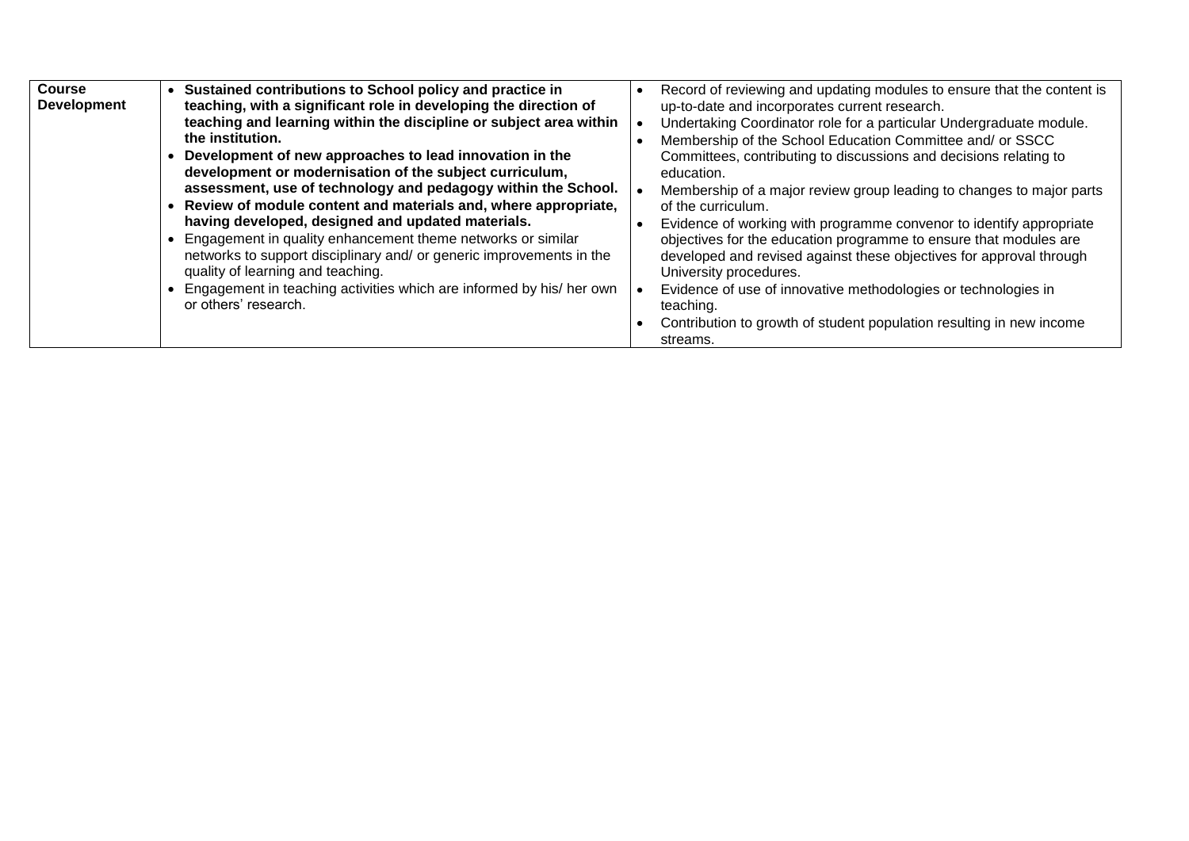| <b>Course</b><br><b>Development</b> | Sustained contributions to School policy and practice in<br>teaching, with a significant role in developing the direction of<br>teaching and learning within the discipline or subject area within<br>the institution.<br>Development of new approaches to lead innovation in the                                                                                                                                                                                                                                          | Record of reviewing and updating modules to ensure that the content is<br>up-to-date and incorporates current research.<br>Undertaking Coordinator role for a particular Undergraduate module.<br>Membership of the School Education Committee and/ or SSCC<br>Committees, contributing to discussions and decisions relating to                                                                                                                                                                                         |
|-------------------------------------|----------------------------------------------------------------------------------------------------------------------------------------------------------------------------------------------------------------------------------------------------------------------------------------------------------------------------------------------------------------------------------------------------------------------------------------------------------------------------------------------------------------------------|--------------------------------------------------------------------------------------------------------------------------------------------------------------------------------------------------------------------------------------------------------------------------------------------------------------------------------------------------------------------------------------------------------------------------------------------------------------------------------------------------------------------------|
|                                     | development or modernisation of the subject curriculum,<br>assessment, use of technology and pedagogy within the School.<br>Review of module content and materials and, where appropriate,<br>having developed, designed and updated materials.<br>Engagement in quality enhancement theme networks or similar<br>networks to support disciplinary and/ or generic improvements in the<br>quality of learning and teaching.<br>Engagement in teaching activities which are informed by his/her own<br>or others' research. | education.<br>Membership of a major review group leading to changes to major parts<br>of the curriculum.<br>Evidence of working with programme convenor to identify appropriate<br>objectives for the education programme to ensure that modules are<br>developed and revised against these objectives for approval through<br>University procedures.<br>Evidence of use of innovative methodologies or technologies in<br>teaching.<br>Contribution to growth of student population resulting in new income<br>streams. |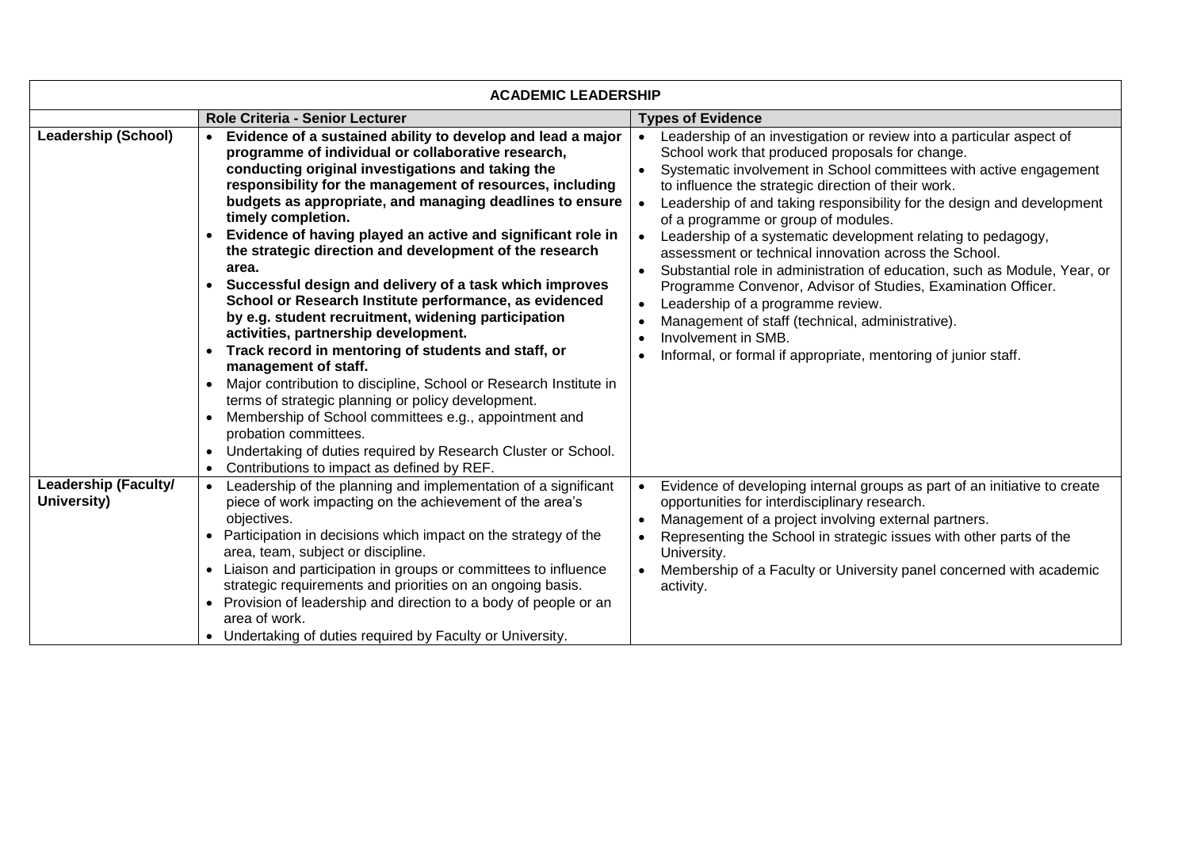| <b>ACADEMIC LEADERSHIP</b>                 |                                                                                                                                                                                                                                                                                                                                                                                                                                                                                                                                                                                                                                                                                                                                                                                                                                                                                                                                                                                                                                                                                         |                                                                                                                                                                                                                                                                                                                                                                                                                                                                                                                                                                                                                                                                                                                                                                                                                               |
|--------------------------------------------|-----------------------------------------------------------------------------------------------------------------------------------------------------------------------------------------------------------------------------------------------------------------------------------------------------------------------------------------------------------------------------------------------------------------------------------------------------------------------------------------------------------------------------------------------------------------------------------------------------------------------------------------------------------------------------------------------------------------------------------------------------------------------------------------------------------------------------------------------------------------------------------------------------------------------------------------------------------------------------------------------------------------------------------------------------------------------------------------|-------------------------------------------------------------------------------------------------------------------------------------------------------------------------------------------------------------------------------------------------------------------------------------------------------------------------------------------------------------------------------------------------------------------------------------------------------------------------------------------------------------------------------------------------------------------------------------------------------------------------------------------------------------------------------------------------------------------------------------------------------------------------------------------------------------------------------|
|                                            | Role Criteria - Senior Lecturer                                                                                                                                                                                                                                                                                                                                                                                                                                                                                                                                                                                                                                                                                                                                                                                                                                                                                                                                                                                                                                                         | <b>Types of Evidence</b>                                                                                                                                                                                                                                                                                                                                                                                                                                                                                                                                                                                                                                                                                                                                                                                                      |
| <b>Leadership (School)</b>                 | Evidence of a sustained ability to develop and lead a major<br>programme of individual or collaborative research,<br>conducting original investigations and taking the<br>responsibility for the management of resources, including<br>budgets as appropriate, and managing deadlines to ensure<br>timely completion.<br>Evidence of having played an active and significant role in<br>the strategic direction and development of the research<br>area.<br>Successful design and delivery of a task which improves<br>School or Research Institute performance, as evidenced<br>by e.g. student recruitment, widening participation<br>activities, partnership development.<br>Track record in mentoring of students and staff, or<br>management of staff.<br>Major contribution to discipline, School or Research Institute in<br>terms of strategic planning or policy development.<br>Membership of School committees e.g., appointment and<br>probation committees.<br>Undertaking of duties required by Research Cluster or School.<br>Contributions to impact as defined by REF. | Leadership of an investigation or review into a particular aspect of<br>School work that produced proposals for change.<br>Systematic involvement in School committees with active engagement<br>to influence the strategic direction of their work.<br>Leadership of and taking responsibility for the design and development<br>of a programme or group of modules.<br>Leadership of a systematic development relating to pedagogy,<br>assessment or technical innovation across the School.<br>Substantial role in administration of education, such as Module, Year, or<br>Programme Convenor, Advisor of Studies, Examination Officer.<br>Leadership of a programme review.<br>Management of staff (technical, administrative).<br>Involvement in SMB.<br>Informal, or formal if appropriate, mentoring of junior staff. |
| <b>Leadership (Faculty/</b><br>University) | Leadership of the planning and implementation of a significant<br>piece of work impacting on the achievement of the area's<br>objectives.<br>Participation in decisions which impact on the strategy of the<br>area, team, subject or discipline.<br>Liaison and participation in groups or committees to influence<br>strategic requirements and priorities on an ongoing basis.<br>• Provision of leadership and direction to a body of people or an<br>area of work.<br>• Undertaking of duties required by Faculty or University.                                                                                                                                                                                                                                                                                                                                                                                                                                                                                                                                                   | Evidence of developing internal groups as part of an initiative to create<br>opportunities for interdisciplinary research.<br>Management of a project involving external partners.<br>Representing the School in strategic issues with other parts of the<br>University.<br>Membership of a Faculty or University panel concerned with academic<br>activity.                                                                                                                                                                                                                                                                                                                                                                                                                                                                  |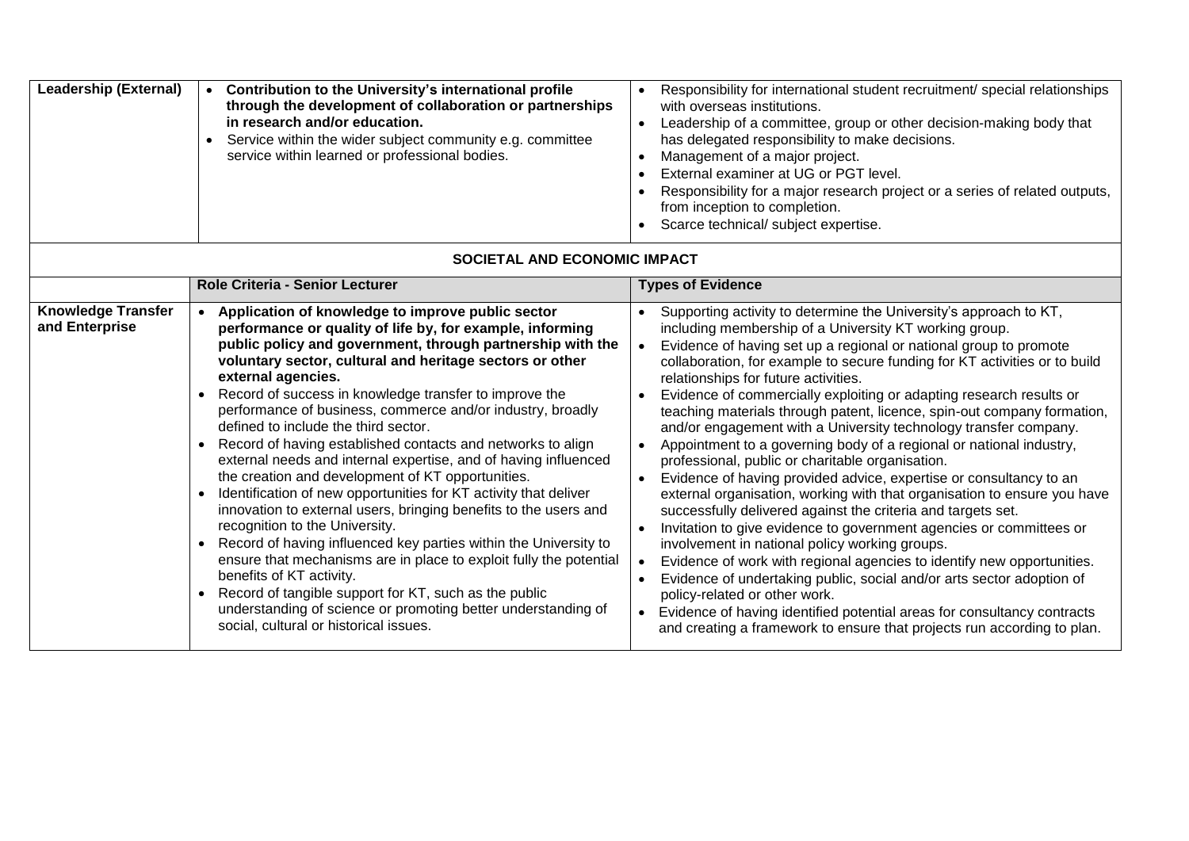| <b>Leadership (External)</b>                | Contribution to the University's international profile<br>$\bullet$<br>through the development of collaboration or partnerships<br>in research and/or education.<br>Service within the wider subject community e.g. committee<br>service within learned or professional bodies.                                                                                                                                                                                                                                                                                                                                                                                                                                                                                                                                                                                                                                                                                                                                                                                                                                                           | Responsibility for international student recruitment/ special relationships<br>with overseas institutions.<br>Leadership of a committee, group or other decision-making body that<br>has delegated responsibility to make decisions.<br>Management of a major project.<br>External examiner at UG or PGT level.<br>Responsibility for a major research project or a series of related outputs,<br>from inception to completion.<br>Scarce technical/ subject expertise.                                                                                                                                                                                                                                                                                                                                                                                                                                                                                                                                                                                                                                                                                                                                                                                                                                                                                      |
|---------------------------------------------|-------------------------------------------------------------------------------------------------------------------------------------------------------------------------------------------------------------------------------------------------------------------------------------------------------------------------------------------------------------------------------------------------------------------------------------------------------------------------------------------------------------------------------------------------------------------------------------------------------------------------------------------------------------------------------------------------------------------------------------------------------------------------------------------------------------------------------------------------------------------------------------------------------------------------------------------------------------------------------------------------------------------------------------------------------------------------------------------------------------------------------------------|--------------------------------------------------------------------------------------------------------------------------------------------------------------------------------------------------------------------------------------------------------------------------------------------------------------------------------------------------------------------------------------------------------------------------------------------------------------------------------------------------------------------------------------------------------------------------------------------------------------------------------------------------------------------------------------------------------------------------------------------------------------------------------------------------------------------------------------------------------------------------------------------------------------------------------------------------------------------------------------------------------------------------------------------------------------------------------------------------------------------------------------------------------------------------------------------------------------------------------------------------------------------------------------------------------------------------------------------------------------|
| SOCIETAL AND ECONOMIC IMPACT                |                                                                                                                                                                                                                                                                                                                                                                                                                                                                                                                                                                                                                                                                                                                                                                                                                                                                                                                                                                                                                                                                                                                                           |                                                                                                                                                                                                                                                                                                                                                                                                                                                                                                                                                                                                                                                                                                                                                                                                                                                                                                                                                                                                                                                                                                                                                                                                                                                                                                                                                              |
|                                             | <b>Role Criteria - Senior Lecturer</b>                                                                                                                                                                                                                                                                                                                                                                                                                                                                                                                                                                                                                                                                                                                                                                                                                                                                                                                                                                                                                                                                                                    | <b>Types of Evidence</b>                                                                                                                                                                                                                                                                                                                                                                                                                                                                                                                                                                                                                                                                                                                                                                                                                                                                                                                                                                                                                                                                                                                                                                                                                                                                                                                                     |
| <b>Knowledge Transfer</b><br>and Enterprise | Application of knowledge to improve public sector<br>performance or quality of life by, for example, informing<br>public policy and government, through partnership with the<br>voluntary sector, cultural and heritage sectors or other<br>external agencies.<br>Record of success in knowledge transfer to improve the<br>performance of business, commerce and/or industry, broadly<br>defined to include the third sector.<br>Record of having established contacts and networks to align<br>external needs and internal expertise, and of having influenced<br>the creation and development of KT opportunities.<br>Identification of new opportunities for KT activity that deliver<br>innovation to external users, bringing benefits to the users and<br>recognition to the University.<br>Record of having influenced key parties within the University to<br>ensure that mechanisms are in place to exploit fully the potential<br>benefits of KT activity.<br>Record of tangible support for KT, such as the public<br>understanding of science or promoting better understanding of<br>social, cultural or historical issues. | Supporting activity to determine the University's approach to KT,<br>including membership of a University KT working group.<br>Evidence of having set up a regional or national group to promote<br>collaboration, for example to secure funding for KT activities or to build<br>relationships for future activities.<br>Evidence of commercially exploiting or adapting research results or<br>teaching materials through patent, licence, spin-out company formation,<br>and/or engagement with a University technology transfer company.<br>Appointment to a governing body of a regional or national industry,<br>professional, public or charitable organisation.<br>Evidence of having provided advice, expertise or consultancy to an<br>external organisation, working with that organisation to ensure you have<br>successfully delivered against the criteria and targets set.<br>Invitation to give evidence to government agencies or committees or<br>involvement in national policy working groups.<br>Evidence of work with regional agencies to identify new opportunities.<br>Evidence of undertaking public, social and/or arts sector adoption of<br>policy-related or other work.<br>Evidence of having identified potential areas for consultancy contracts<br>and creating a framework to ensure that projects run according to plan. |